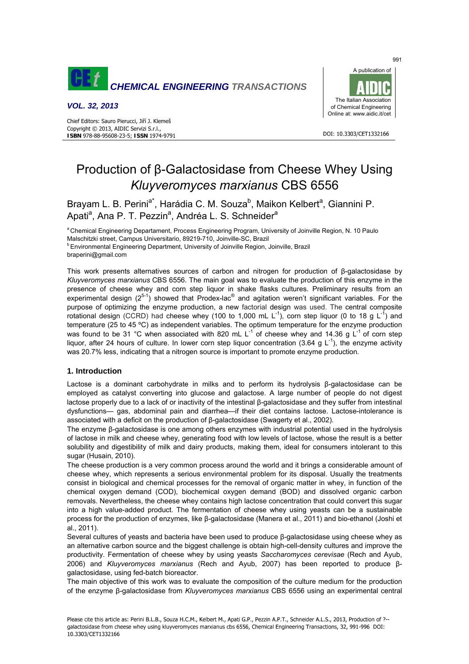

*VOL. 32, 2013*

Chief Editors: Sauro Pierucci, Jiří J. Klemeš Copyright © 2013, AIDIC Servizi S.r.l., **ISBN** 978-88-95608-23-5; **ISSN** 1974-9791



DOI: 10.3303/CFT1332166

# Production of β-Galactosidase from Cheese Whey Using *Kluyveromyces marxianus* CBS 6556

Brayam L. B. Perini<sup>a\*</sup>, Harádia C. M. Souza<sup>b</sup>, Maikon Kelbert<sup>a</sup>, Giannini P. Apati<sup>a</sup>, Ana P. T. Pezzin<sup>a</sup>, Andréa L. S. Schneider<sup>a</sup>

<sup>a</sup> Chemical Engineering Departament, Process Engineering Program, University of Joinville Region, N. 10 Paulo Malschitzki street, Campus Universitario, 89219-710, Joinville-SC, Brazil<br><sup>b</sup> Environmental Engineering Department, University of Joinville Region, Joinville, Brazil

braperini@gmail.com

This work presents alternatives sources of carbon and nitrogen for production of β-galactosidase by *Kluyveromyces marxianus* CBS 6556. The main goal was to evaluate the production of this enzyme in the presence of cheese whey and corn step liquor in shake flasks cultures. Preliminary results from an experimental design  $(2^{5-1})$  showed that Prodex-lac<sup>®</sup> and agitation weren't significant variables. For the purpose of optimizing the enzyme production, a new factorial design was used. The central composite rotational design (CCRD) had cheese whey (100 to 1,000 mL  $L^{-1}$ ), corn step liquor (0 to 18 g  $L^{-1}$ ) and temperature (25 to 45 ºC) as independent variables. The optimum temperature for the enzyme production was found to be 31 °C when associated with 820 mL  $L^{-1}$  of cheese whey and 14.36 g  $L^{-1}$  of corn step liquor, after 24 hours of culture. In lower corn step liquor concentration (3.64 g  $L^{-1}$ ), the enzyme activity was 20.7% less, indicating that a nitrogen source is important to promote enzyme production.

## **1. Introduction**

Lactose is a dominant carbohydrate in milks and to perform its hydrolysis β-galactosidase can be employed as catalyst converting into glucose and galactose. A large number of people do not digest lactose properly due to a lack of or inactivity of the intestinal β-galactosidase and they suffer from intestinal dysfunctions— gas, abdominal pain and diarrhea—if their diet contains lactose. Lactose-intolerance is associated with a deficit on the production of β-galactosidase (Swagerty et al., 2002).

The enzyme β-galactosidase is one among others enzymes with industrial potential used in the hydrolysis of lactose in milk and cheese whey, generating food with low levels of lactose, whose the result is a better solubility and digestibility of milk and dairy products, making them, ideal for consumers intolerant to this sugar (Husain, 2010).

The cheese production is a very common process around the world and it brings a considerable amount of cheese whey, which represents a serious environmental problem for its disposal. Usually the treatments consist in biological and chemical processes for the removal of organic matter in whey, in function of the chemical oxygen demand (COD), biochemical oxygen demand (BOD) and dissolved organic carbon removals. Nevertheless, the cheese whey contains high lactose concentration that could convert this sugar into a high value-added product. The fermentation of cheese whey using yeasts can be a sustainable process for the production of enzymes, like β-galactosidase (Manera et al., 2011) and bio-ethanol (Joshi et al., 2011).

Several cultures of yeasts and bacteria have been used to produce β-galactosidase using cheese whey as an alternative carbon source and the biggest challenge is obtain high-cell-density cultures and improve the productivity. Fermentation of cheese whey by using yeasts *Saccharomyces cerevisae* (Rech and Ayub, 2006) and *Kluyveromyces marxianus* (Rech and Ayub, 2007) has been reported to produce βgalactosidase, using fed-batch bioreactor.

The main objective of this work was to evaluate the composition of the culture medium for the production of the enzyme β-galactosidase from *Kluyveromyces marxianus* CBS 6556 using an experimental central

 $001$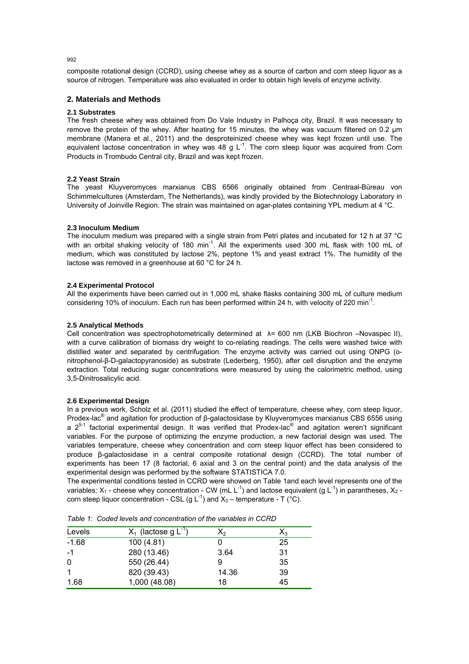composite rotational design (CCRD), using cheese whey as a source of carbon and corn steep liquor as a source of nitrogen. Temperature was also evaluated in order to obtain high levels of enzyme activity.

# **2. Materials and Methods**

## **2.1 Substrates**

The fresh cheese whey was obtained from Do Vale Industry in Palhoça city, Brazil. It was necessary to remove the protein of the whey. After heating for 15 minutes, the whey was vacuum filtered on 0.2 μm membrane (Manera et al., 2011) and the desproteinized cheese whey was kept frozen until use. The equivalent lactose concentration in whey was 48 g  $L^{-1}$ . The corn steep liquor was acquired from Corn Products in Trombudo Central city, Brazil and was kept frozen.

## **2.2 Yeast Strain**

The yeast Kluyveromyces marxianus CBS 6566 originally obtained from Centraal-Büreau von Schimmelcultures (Amsterdam, The Netherlands), was kindly provided by the Biotechnology Laboratory in University of Joinville Region. The strain was maintained on agar-plates containing YPL medium at 4 °C.

## **2.3 Inoculum Medium**

The inoculum medium was prepared with a single strain from Petri plates and incubated for 12 h at 37 °C with an orbital shaking velocity of 180 min<sup>-1</sup>. All the experiments used 300 mL flask with 100 mL of medium, which was constituted by lactose 2%, peptone 1% and yeast extract 1%. The humidity of the lactose was removed in a greenhouse at 60 °C for 24 h.

#### **2.4 Experimental Protocol**

All the experiments have been carried out in 1,000 mL shake flasks containing 300 mL of culture medium considering 10% of inoculum. Each run has been performed within 24 h, with velocity of 220 min<sup>-1</sup>.

#### **2.5 Analytical Methods**

Cell concentration was spectrophotometrically determined at  $\lambda$ = 600 nm (LKB Biochron –Novaspec II), with a curve calibration of biomass dry weight to co-relating readings. The cells were washed twice with distilled water and separated by centrifugation. The enzyme activity was carried out using ONPG (onitrophenol-β-D-galactopyranoside) as substrate (Lederberg, 1950), after cell disruption and the enzyme extraction. Total reducing sugar concentrations were measured by using the calorimetric method, using 3,5-Dinitrosalicylic acid.

## **2.6 Experimental Design**

In a previous work, Scholz et al. (2011) studied the effect of temperature, cheese whey, corn steep liquor, Prodex-lac<sup>®</sup> and agitation for production of β-galactosidase by Kluyveromyces marxianus CBS 6556 using a  $2^{5-1}$  factorial experimental design. It was verified that Prodex-lac<sup>®</sup> and agitation weren't significant variables. For the purpose of optimizing the enzyme production, a new factorial design was used. The variables temperature, cheese whey concentration and corn steep liquor effect has been considered to produce β-galactosidase in a central composite rotational design (CCRD). The total number of experiments has been 17 (8 factorial, 6 axial and 3 on the central point) and the data analysis of the experimental design was performed by the software STATISTICA 7.0.

The experimental conditions tested in CCRD were showed on Table 1and each level represents one of the variables:  $X_1$  - cheese whey concentration - CW (mL L<sup>-1</sup>) and lactose equivalent (g L<sup>-1</sup>) in parantheses,  $X_2$  corn steep liquor concentration - CSL (g  $L^{-1}$ ) and  $X_3$  – temperature - T (°C).

| Levels  | $X_1$ (lactose g L <sup>-1</sup> | X2    | $\mathsf{X}_3$ |
|---------|----------------------------------|-------|----------------|
| $-1.68$ | 100 (4.81)                       |       | 25             |
| -1      | 280 (13.46)                      | 3.64  | 31             |
| 0       | 550 (26.44)                      |       | 35             |
|         | 820 (39.43)                      | 14.36 | 39             |
| 1.68    | 1,000 (48.08)                    | 18    | 45             |

*Table 1: Coded levels and concentration of the variables in CCRD* 

 $002$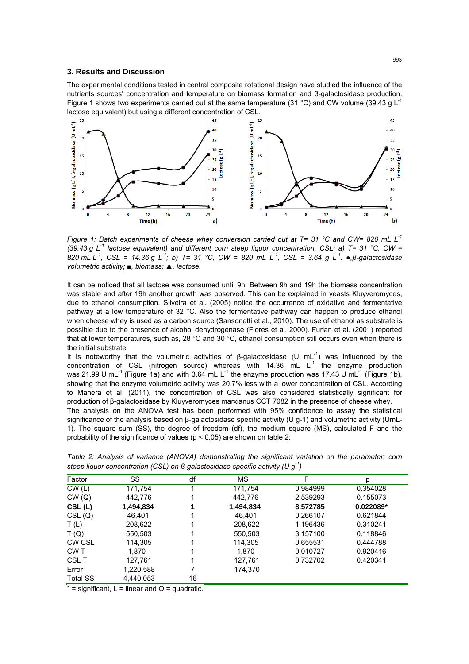#### **3. Results and Discussion**

The experimental conditions tested in central composite rotational design have studied the influence of the nutrients sources' concentration and temperature on biomass formation and β-galactosidase production. Figure 1 shows two experiments carried out at the same temperature (31 °C) and CW volume (39.43 g  $L^{-1}$ lactose equivalent) but using a different concentration of CSL.



*Figure 1: Batch experiments of cheese whey conversion carried out at T= 31 °C and CW= 820 mL L-1 (39.43 g L-1 lactose equivalent) and different corn steep liquor concentration, CSL: a) T= 31 °C, CW = 820 mL L-1, CSL = 14.36 g L-1; b) T= 31 °C, CW = 820 mL L-1, CSL = 3.64 g L-1. ●,β-galactosidase volumetric activity; ■, biomass; ▲, lactose.* 

It can be noticed that all lactose was consumed until 9h. Between 9h and 19h the biomass concentration was stable and after 19h another growth was observed. This can be explained in yeasts Kluyveromyces, due to ethanol consumption. Silveira et al. (2005) notice the occurrence of oxidative and fermentative pathway at a low temperature of 32 °C. Also the fermentative pathway can happen to produce ethanol when cheese whey is used as a carbon source (Sansonetti et al., 2010). The use of ethanol as substrate is possible due to the presence of alcohol dehydrogenase (Flores et al. 2000). Furlan et al. (2001) reported that at lower temperatures, such as, 28 °C and 30 °C, ethanol consumption still occurs even when there is the initial substrate.

It is noteworthy that the volumetric activities of β-galactosidase (U mL<sup>-1</sup>) was influenced by the concentration of CSL (nitrogen source) whereas with  $14.36$  mL  $L^{-1}$  the enzyme production was 21.99 U mL<sup>-1</sup> (Figure 1a) and with 3.64 mL L<sup>-1</sup> the enzyme production was 17.43 U mL<sup>-1</sup> (Figure 1b), showing that the enzyme volumetric activity was 20.7% less with a lower concentration of CSL. According to Manera et al. (2011), the concentration of CSL was also considered statistically significant for production of β-galactosidase by Kluyveromyces marxianus CCT 7082 in the presence of cheese whey. The analysis on the ANOVA test has been performed with 95% confidence to assay the statistical significance of the analysis based on β-galactosidase specific activity (U g-1) and volumetric activity (UmL-

1). The square sum (SS), the degree of freedom (df), the medium square (MS), calculated F and the probability of the significance of values ( $p < 0.05$ ) are shown on table 2:

| Factor          | SS        | df | МS        | F        | р           |
|-----------------|-----------|----|-----------|----------|-------------|
| CW(L)           | 171,754   |    | 171,754   | 0.984999 | 0.354028    |
| CW(Q)           | 442,776   |    | 442,776   | 2.539293 | 0.155073    |
| CSL(L)          | 1,494,834 |    | 1,494,834 | 8.572785 | $0.022089*$ |
| CSL(Q)          | 46.401    |    | 46.401    | 0.266107 | 0.621844    |
| T(L)            | 208,622   |    | 208,622   | 1.196436 | 0.310241    |
| T(Q)            | 550,503   |    | 550,503   | 3.157100 | 0.118846    |
| <b>CW CSL</b>   | 114,305   |    | 114.305   | 0.655531 | 0.444788    |
| CW T            | 1,870     |    | 1,870     | 0.010727 | 0.920416    |
| CSL T           | 127,761   |    | 127,761   | 0.732702 | 0.420341    |
| Error           | 1,220,588 |    | 174,370   |          |             |
| <b>Total SS</b> | 4,440,053 | 16 |           |          |             |

*Table 2: Analysis of variance (ANOVA) demonstrating the significant variation on the parameter: corn steep liquor concentration (CSL) on β-galactosidase specific activity (U g-1)* 

 $* =$  significant,  $L =$  linear and  $Q =$  quadratic.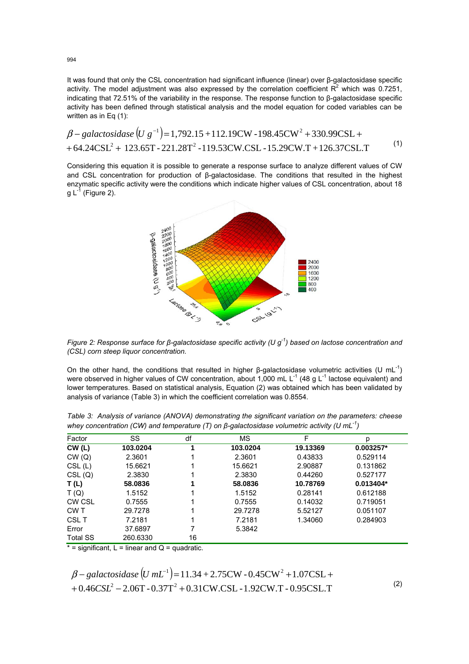It was found that only the CSL concentration had significant influence (linear) over β-galactosidase specific activity. The model adjustment was also expressed by the correlation coefficient  $R^2$  which was 0.7251, indicating that 72.51% of the variability in the response. The response function to β-galactosidase specific activity has been defined through statistical analysis and the model equation for coded variables can be written as in Eq (1):

$$
\beta - galactosidase (U g^{-1}) = 1,792.15 + 112.19 \text{CW} - 198.45 \text{CW}^2 + 330.99 \text{CSL} + 64.24 \text{CSL}^2 + 123.65 \text{T} - 221.28 \text{T}^2 - 119.53 \text{CW} \cdot \text{CSL} - 15.29 \text{CW} \cdot \text{T} + 126.37 \text{CSL} \cdot \text{T}
$$
 (1)

Considering this equation it is possible to generate a response surface to analyze different values of CW and CSL concentration for production of β-galactosidase. The conditions that resulted in the highest enzymatic specific activity were the conditions which indicate higher values of CSL concentration, about 18 g  $L^{-1}$  (Figure 2).



*Figure 2: Response surface for β-galactosidase specific activity (U g-1) based on lactose concentration and (CSL) corn steep liquor concentration.* 

On the other hand, the conditions that resulted in higher β-galactosidase volumetric activities (U mL<sup>-1</sup>) were observed in higher values of CW concentration, about 1,000 mL  $L^{-1}$  (48 g L<sup>-1</sup> lactose equivalent) and lower temperatures. Based on statistical analysis, Equation (2) was obtained which has been validated by analysis of variance (Table 3) in which the coefficient correlation was 0.8554.

| Factor          | SS       | df | МS       | F        | р         |
|-----------------|----------|----|----------|----------|-----------|
| CW(L)           | 103.0204 |    | 103.0204 | 19.13369 | 0.003257* |
| CW(Q)           | 2.3601   |    | 2.3601   | 0.43833  | 0.529114  |
| CSL(L)          | 15.6621  |    | 15.6621  | 2.90887  | 0.131862  |
| CSL(Q)          | 2.3830   |    | 2.3830   | 0.44260  | 0.527177  |
| T(L)            | 58,0836  |    | 58,0836  | 10.78769 | 0.013404* |
| T(Q)            | 1.5152   |    | 1.5152   | 0.28141  | 0.612188  |
| CW CSL          | 0.7555   |    | 0.7555   | 0.14032  | 0.719051  |
| CW T            | 29.7278  |    | 29.7278  | 5.52127  | 0.051107  |
| <b>CSLT</b>     | 7.2181   |    | 7.2181   | 1.34060  | 0.284903  |
| Error           | 37.6897  | 7  | 5.3842   |          |           |
| <b>Total SS</b> | 260.6330 | 16 |          |          |           |

*Table 3: Analysis of variance (ANOVA) demonstrating the significant variation on the parameters: cheese whey concentration (CW) and temperature (T) on β-galactosidase volumetric activity (U mL-1)* 

 $* =$  significant,  $L =$  linear and  $Q =$  quadratic.

$$
\beta - galactosidase (U mL-1) = 11.34 + 2.75 CW - 0.45 CW2 + 1.07 CSL ++ 0.46 CSL2 - 2.06 T - 0.37 T2 + 0.31 CW.CSL - 1.92 CW.T - 0.95 CSL.T
$$

(2)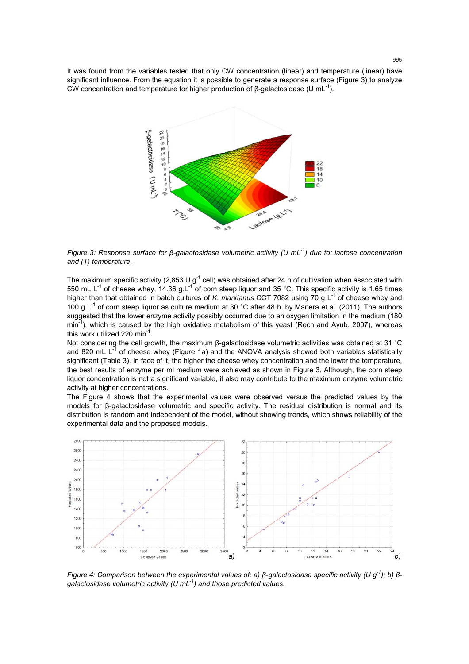It was found from the variables tested that only CW concentration (linear) and temperature (linear) have significant influence. From the equation it is possible to generate a response surface (Figure 3) to analyze CW concentration and temperature for higher production of β-galactosidase (U mL<sup>-1</sup>).



*Figure 3: Response surface for β-galactosidase volumetric activity (U mL-1) due to: lactose concentration and (T) temperature.* 

The maximum specific activity (2,853 U  $g^{-1}$  cell) was obtained after 24 h of cultivation when associated with 550 mL L<sup>-1</sup> of cheese whey, 14.36 g.L<sup>-1</sup> of corn steep liquor and 35 °C. This specific activity is 1.65 times higher than that obtained in batch cultures of *K. marxianus* CCT 7082 using 70 g L<sup>-1</sup> of cheese whey and 100 g L<sup>-1</sup> of corn steep liquor as culture medium at 30 °C after 48 h, by Manera et al. (2011). The authors suggested that the lower enzyme activity possibly occurred due to an oxygen limitation in the medium (180  $min^{-1}$ , which is caused by the high oxidative metabolism of this yeast (Rech and Ayub, 2007), whereas this work utilized 220 min<sup>-1</sup>.

Not considering the cell growth, the maximum β-galactosidase volumetric activities was obtained at 31 °C and 820 mL  $L^{-1}$  of cheese whey (Figure 1a) and the ANOVA analysis showed both variables statistically significant (Table 3). In face of it, the higher the cheese whey concentration and the lower the temperature, the best results of enzyme per ml medium were achieved as shown in Figure 3. Although, the corn steep liquor concentration is not a significant variable, it also may contribute to the maximum enzyme volumetric activity at higher concentrations.

The Figure 4 shows that the experimental values were observed versus the predicted values by the models for β-galactosidase volumetric and specific activity. The residual distribution is normal and its distribution is random and independent of the model, without showing trends, which shows reliability of the experimental data and the proposed models.



*Figure 4: Comparison between the experimental values of: a) β-galactosidase specific activity (U g<sup>-1</sup>); b) βgalactosidase volumetric activity (U mL-1) and those predicted values.*